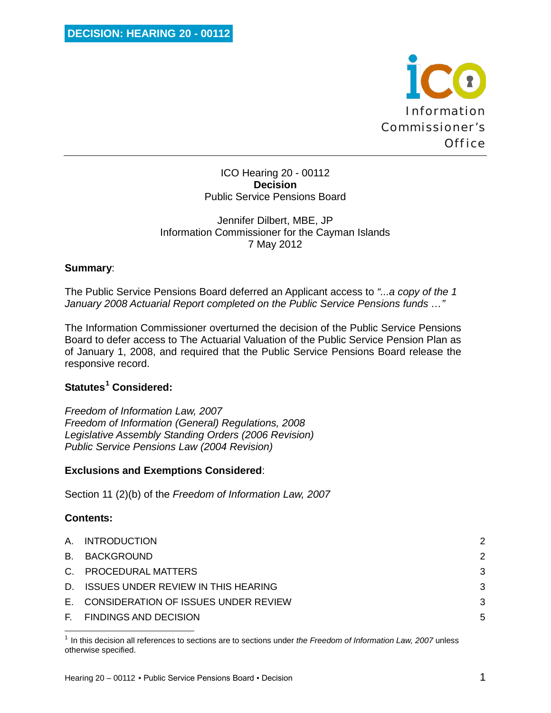

ICO Hearing 20 - 00112 **Decision** Public Service Pensions Board

#### Jennifer Dilbert, MBE, JP Information Commissioner for the Cayman Islands 7 May 2012

#### **Summary**:

The Public Service Pensions Board deferred an Applicant access to *"...a copy of the 1 January 2008 Actuarial Report completed on the Public Service Pensions funds …"*

The Information Commissioner overturned the decision of the Public Service Pensions Board to defer access to The Actuarial Valuation of the Public Service Pension Plan as of January 1, 2008, and required that the Public Service Pensions Board release the responsive record.

# **Statutes[1](#page-0-0) Considered:**

*Freedom of Information Law, 2007 Freedom of Information (General) Regulations, 2008 Legislative Assembly Standing Orders (2006 Revision) Public Service Pensions Law (2004 Revision)*

#### **Exclusions and Exemptions Considered**:

Section 11 (2)(b) of the *Freedom of Information Law, 2007*

#### **Contents:**

 $\overline{\phantom{0}}$ 

| A. INTRODUCTION                         | 2 |
|-----------------------------------------|---|
| B. BACKGROUND                           | 2 |
| C. PROCEDURAL MATTERS                   | 3 |
| D. ISSUES UNDER REVIEW IN THIS HEARING  | 3 |
| E. CONSIDERATION OF ISSUES UNDER REVIEW | 3 |
| F. FINDINGS AND DECISION                | 5 |

<span id="page-0-0"></span><sup>1</sup> In this decision all references to sections are to sections under *the Freedom of Information Law, 2007* unless otherwise specified.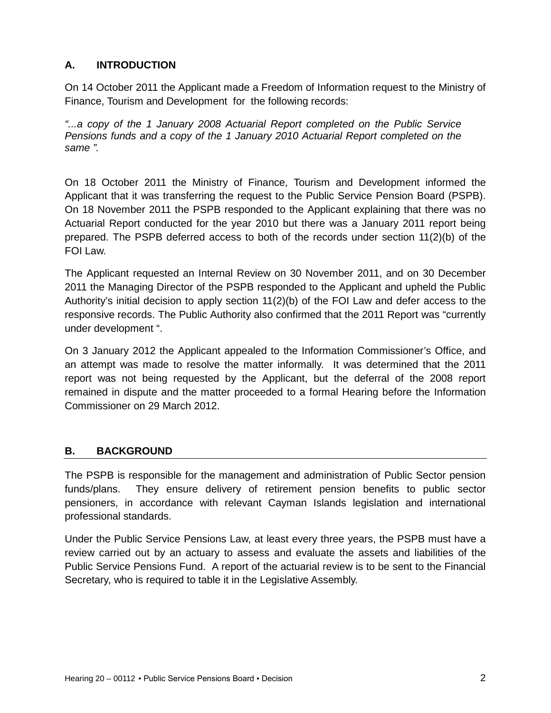# **A. INTRODUCTION**

On 14 October 2011 the Applicant made a Freedom of Information request to the Ministry of Finance, Tourism and Development for the following records:

*"...a copy of the 1 January 2008 Actuarial Report completed on the Public Service Pensions funds and a copy of the 1 January 2010 Actuarial Report completed on the same ".*

On 18 October 2011 the Ministry of Finance, Tourism and Development informed the Applicant that it was transferring the request to the Public Service Pension Board (PSPB). On 18 November 2011 the PSPB responded to the Applicant explaining that there was no Actuarial Report conducted for the year 2010 but there was a January 2011 report being prepared. The PSPB deferred access to both of the records under section 11(2)(b) of the FOI Law.

The Applicant requested an Internal Review on 30 November 2011, and on 30 December 2011 the Managing Director of the PSPB responded to the Applicant and upheld the Public Authority's initial decision to apply section  $11(2)(b)$  of the FOI Law and defer access to the responsive records. The Public Authority also confirmed that the 2011 Report was "currently under development ".

On 3 January 2012 the Applicant appealed to the Information Commissioner's Office, and an attempt was made to resolve the matter informally. It was determined that the 2011 report was not being requested by the Applicant, but the deferral of the 2008 report remained in dispute and the matter proceeded to a formal Hearing before the Information Commissioner on 29 March 2012.

# **B. BACKGROUND**

The PSPB is responsible for the management and administration of Public Sector pension funds/plans. They ensure delivery of retirement pension benefits to public sector pensioners, in accordance with relevant Cayman Islands legislation and international professional standards.

Under the Public Service Pensions Law, at least every three years, the PSPB must have a review carried out by an actuary to assess and evaluate the assets and liabilities of the Public Service Pensions Fund. A report of the actuarial review is to be sent to the Financial Secretary, who is required to table it in the Legislative Assembly.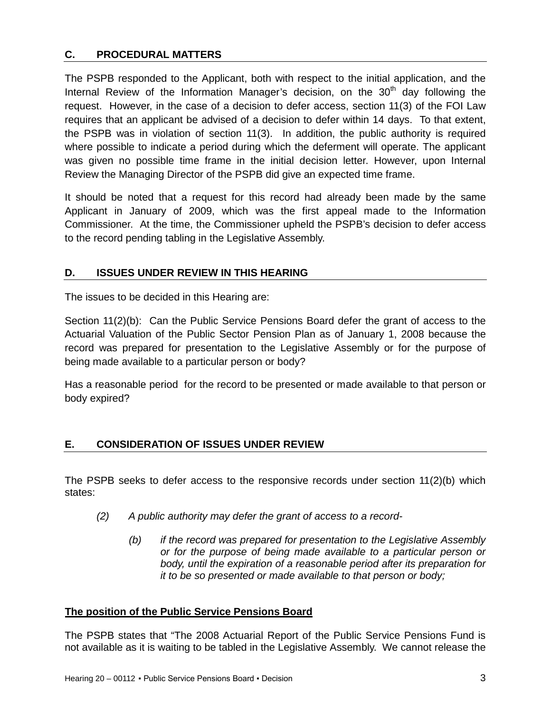# **C. PROCEDURAL MATTERS**

The PSPB responded to the Applicant, both with respect to the initial application, and the Internal Review of the Information Manager's decision, on the  $30<sup>th</sup>$  day following the request. However, in the case of a decision to defer access, section 11(3) of the FOI Law requires that an applicant be advised of a decision to defer within 14 days. To that extent, the PSPB was in violation of section 11(3). In addition, the public authority is required where possible to indicate a period during which the deferment will operate. The applicant was given no possible time frame in the initial decision letter. However, upon Internal Review the Managing Director of the PSPB did give an expected time frame.

It should be noted that a request for this record had already been made by the same Applicant in January of 2009, which was the first appeal made to the Information Commissioner. At the time, the Commissioner upheld the PSPB's decision to defer access to the record pending tabling in the Legislative Assembly.

# **D. ISSUES UNDER REVIEW IN THIS HEARING**

The issues to be decided in this Hearing are:

Section 11(2)(b): Can the Public Service Pensions Board defer the grant of access to the Actuarial Valuation of the Public Sector Pension Plan as of January 1, 2008 because the record was prepared for presentation to the Legislative Assembly or for the purpose of being made available to a particular person or body?

Has a reasonable period for the record to be presented or made available to that person or body expired?

# **E. CONSIDERATION OF ISSUES UNDER REVIEW**

The PSPB seeks to defer access to the responsive records under section 11(2)(b) which states:

- *(2) A public authority may defer the grant of access to a record-*
	- *(b) if the record was prepared for presentation to the Legislative Assembly or for the purpose of being made available to a particular person or body, until the expiration of a reasonable period after its preparation for it to be so presented or made available to that person or body;*

# **The position of the Public Service Pensions Board**

The PSPB states that "The 2008 Actuarial Report of the Public Service Pensions Fund is not available as it is waiting to be tabled in the Legislative Assembly. We cannot release the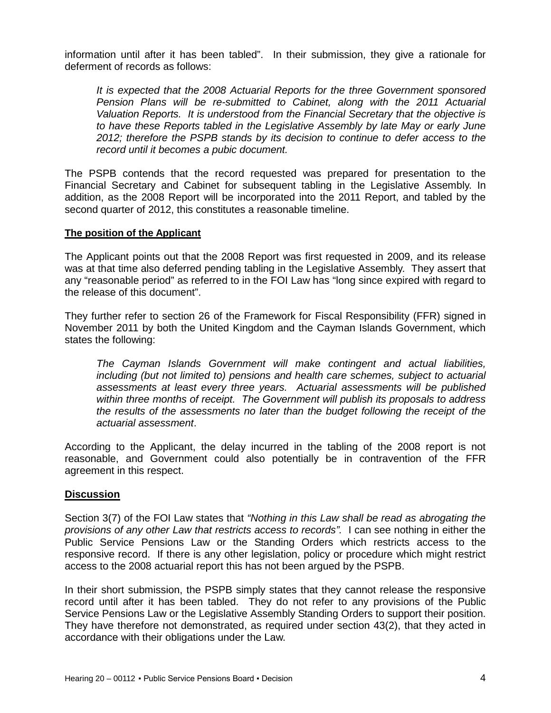information until after it has been tabled". In their submission, they give a rationale for deferment of records as follows:

*It is expected that the 2008 Actuarial Reports for the three Government sponsored Pension Plans will be re-submitted to Cabinet, along with the 2011 Actuarial Valuation Reports. It is understood from the Financial Secretary that the objective is to have these Reports tabled in the Legislative Assembly by late May or early June 2012; therefore the PSPB stands by its decision to continue to defer access to the record until it becomes a pubic document.*

The PSPB contends that the record requested was prepared for presentation to the Financial Secretary and Cabinet for subsequent tabling in the Legislative Assembly. In addition, as the 2008 Report will be incorporated into the 2011 Report, and tabled by the second quarter of 2012, this constitutes a reasonable timeline.

#### **The position of the Applicant**

The Applicant points out that the 2008 Report was first requested in 2009, and its release was at that time also deferred pending tabling in the Legislative Assembly. They assert that any "reasonable period" as referred to in the FOI Law has "long since expired with regard to the release of this document".

They further refer to section 26 of the Framework for Fiscal Responsibility (FFR) signed in November 2011 by both the United Kingdom and the Cayman Islands Government, which states the following:

*The Cayman Islands Government will make contingent and actual liabilities, including (but not limited to) pensions and health care schemes, subject to actuarial assessments at least every three years. Actuarial assessments will be published within three months of receipt. The Government will publish its proposals to address the results of the assessments no later than the budget following the receipt of the actuarial assessment*.

According to the Applicant, the delay incurred in the tabling of the 2008 report is not reasonable, and Government could also potentially be in contravention of the FFR agreement in this respect.

#### **Discussion**

Section 3(7) of the FOI Law states that *"Nothing in this Law shall be read as abrogating the provisions of any other Law that restricts access to records".* I can see nothing in either the Public Service Pensions Law or the Standing Orders which restricts access to the responsive record. If there is any other legislation, policy or procedure which might restrict access to the 2008 actuarial report this has not been argued by the PSPB.

In their short submission, the PSPB simply states that they cannot release the responsive record until after it has been tabled. They do not refer to any provisions of the Public Service Pensions Law or the Legislative Assembly Standing Orders to support their position. They have therefore not demonstrated, as required under section 43(2), that they acted in accordance with their obligations under the Law.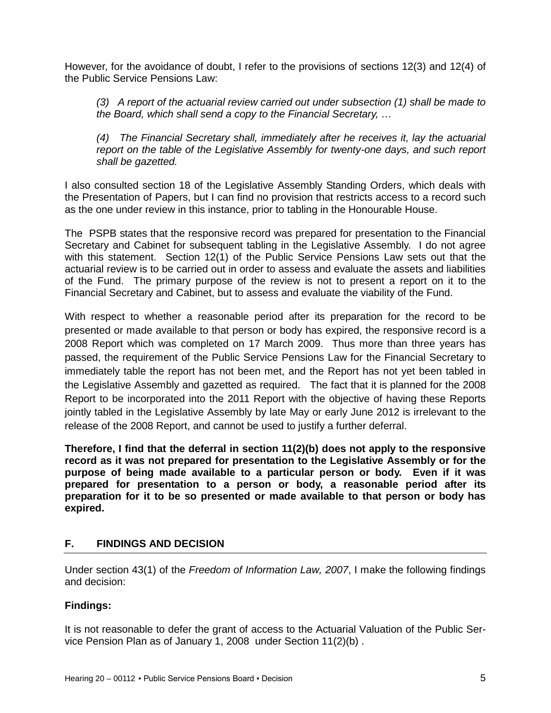However, for the avoidance of doubt, I refer to the provisions of sections 12(3) and 12(4) of the Public Service Pensions Law:

*(3) A report of the actuarial review carried out under subsection (1) shall be made to the Board, which shall send a copy to the Financial Secretary, …* 

*(4) The Financial Secretary shall, immediately after he receives it, lay the actuarial report on the table of the Legislative Assembly for twenty-one days, and such report shall be gazetted.*

I also consulted section 18 of the Legislative Assembly Standing Orders, which deals with the Presentation of Papers, but I can find no provision that restricts access to a record such as the one under review in this instance, prior to tabling in the Honourable House.

The PSPB states that the responsive record was prepared for presentation to the Financial Secretary and Cabinet for subsequent tabling in the Legislative Assembly. I do not agree with this statement. Section 12(1) of the Public Service Pensions Law sets out that the actuarial review is to be carried out in order to assess and evaluate the assets and liabilities of the Fund. The primary purpose of the review is not to present a report on it to the Financial Secretary and Cabinet, but to assess and evaluate the viability of the Fund.

With respect to whether a reasonable period after its preparation for the record to be presented or made available to that person or body has expired, the responsive record is a 2008 Report which was completed on 17 March 2009. Thus more than three years has passed, the requirement of the Public Service Pensions Law for the Financial Secretary to immediately table the report has not been met, and the Report has not yet been tabled in the Legislative Assembly and gazetted as required. The fact that it is planned for the 2008 Report to be incorporated into the 2011 Report with the objective of having these Reports jointly tabled in the Legislative Assembly by late May or early June 2012 is irrelevant to the release of the 2008 Report, and cannot be used to justify a further deferral.

**Therefore, I find that the deferral in section 11(2)(b) does not apply to the responsive record as it was not prepared for presentation to the Legislative Assembly or for the purpose of being made available to a particular person or body. Even if it was prepared for presentation to a person or body, a reasonable period after its preparation for it to be so presented or made available to that person or body has expired.**

# **F. FINDINGS AND DECISION**

Under section 43(1) of the *Freedom of Information Law, 2007*, I make the following findings and decision:

# **Findings:**

It is not reasonable to defer the grant of access to the Actuarial Valuation of the Public Service Pension Plan as of January 1, 2008 under Section 11(2)(b) .